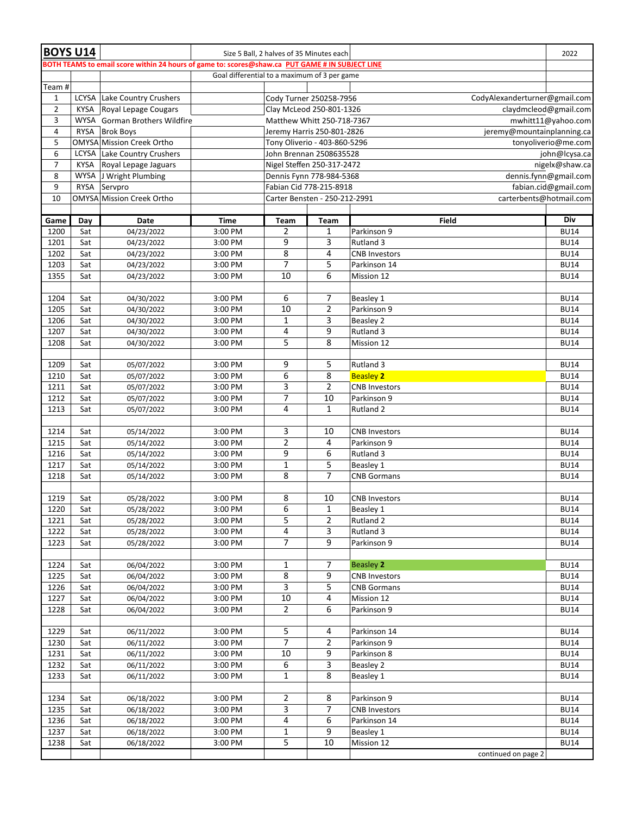| <b>BOYS U14</b> |             |                                                                                                 |                                              | Size 5 Ball, 2 halves of 35 Minutes each          |                                                          |                               | 2022                |  |  |
|-----------------|-------------|-------------------------------------------------------------------------------------------------|----------------------------------------------|---------------------------------------------------|----------------------------------------------------------|-------------------------------|---------------------|--|--|
|                 |             | BOTH TEAMS to email score within 24 hours of game to: scores@shaw.ca PUT GAME # IN SUBJECT LINE |                                              |                                                   |                                                          |                               |                     |  |  |
|                 |             |                                                                                                 | Goal differential to a maximum of 3 per game |                                                   |                                                          |                               |                     |  |  |
| Team#           |             |                                                                                                 |                                              |                                                   |                                                          |                               |                     |  |  |
| $\mathbf{1}$    |             | LCYSA Lake Country Crushers                                                                     |                                              |                                                   | Cody Turner 250258-7956                                  | CodyAlexanderturner@gmail.com |                     |  |  |
| $\overline{2}$  |             | KYSA Royal Lepage Cougars                                                                       |                                              |                                                   | Clay McLeod 250-801-1326                                 | claydmcleod@gmail.com         |                     |  |  |
| 3               |             | WYSA Gorman Brothers Wildfire                                                                   |                                              |                                                   | Matthew Whitt 250-718-7367                               |                               | mwhitt11@yahoo.com  |  |  |
| 4               |             | RYSA Brok Boys                                                                                  |                                              |                                                   | Jeremy Harris 250-801-2826                               | jeremy@mountainplanning.ca    |                     |  |  |
| 5               |             | OMYSA Mission Creek Ortho                                                                       |                                              |                                                   | Tony Oliverio - 403-860-5296                             |                               | tonyoliverio@me.com |  |  |
| 6               |             | LCYSA Lake Country Crushers                                                                     |                                              |                                                   | John Brennan 2508635528                                  |                               | john@lcysa.ca       |  |  |
| $\overline{7}$  | KYSA        | Royal Lepage Jaguars                                                                            |                                              | Nigel Steffen 250-317-2472<br>nigelx@shaw.ca      |                                                          |                               |                     |  |  |
| 8               |             | WYSA J Wright Plumbing                                                                          |                                              | Dennis Fynn 778-984-5368<br>dennis.fynn@gmail.com |                                                          |                               |                     |  |  |
| 9               | <b>RYSA</b> | Servpro                                                                                         |                                              | Fabian Cid 778-215-8918<br>fabian.cid@gmail.com   |                                                          |                               |                     |  |  |
| 10              |             | OMYSA Mission Creek Ortho                                                                       |                                              |                                                   | Carter Bensten - 250-212-2991<br>carterbents@hotmail.com |                               |                     |  |  |
| Game            | Day         | Date                                                                                            | <b>Time</b>                                  | Team                                              | <b>Team</b>                                              | <b>Field</b>                  | Div                 |  |  |
| 1200            | Sat         | 04/23/2022                                                                                      | 3:00 PM                                      | 2                                                 | 1                                                        | Parkinson 9                   | <b>BU14</b>         |  |  |
| 1201            | Sat         | 04/23/2022                                                                                      | 3:00 PM                                      | 9                                                 | 3                                                        | Rutland 3                     | <b>BU14</b>         |  |  |
| 1202            | Sat         | 04/23/2022                                                                                      | 3:00 PM                                      | 8                                                 | 4                                                        | <b>CNB Investors</b>          | <b>BU14</b>         |  |  |
| 1203            | Sat         | 04/23/2022                                                                                      | 3:00 PM                                      | 7                                                 | 5                                                        | Parkinson 14                  | <b>BU14</b>         |  |  |
| 1355            | Sat         | 04/23/2022                                                                                      | 3:00 PM                                      | 10                                                | 6                                                        | Mission 12                    | <b>BU14</b>         |  |  |
|                 |             |                                                                                                 |                                              |                                                   |                                                          |                               |                     |  |  |
| 1204            | Sat         | 04/30/2022                                                                                      | 3:00 PM                                      | 6                                                 | 7                                                        | Beasley 1                     | <b>BU14</b>         |  |  |
| 1205            | Sat         | 04/30/2022                                                                                      | 3:00 PM                                      | 10                                                | 2                                                        | Parkinson 9                   | <b>BU14</b>         |  |  |
| 1206            | Sat         | 04/30/2022                                                                                      | 3:00 PM                                      | $\mathbf{1}$                                      | 3                                                        | Beasley 2                     | <b>BU14</b>         |  |  |
| 1207            | Sat         | 04/30/2022                                                                                      | 3:00 PM                                      | 4                                                 | 9                                                        | Rutland 3                     | <b>BU14</b>         |  |  |
| 1208            | Sat         | 04/30/2022                                                                                      | 3:00 PM                                      | 5                                                 | 8                                                        | Mission 12                    | <b>BU14</b>         |  |  |
|                 |             |                                                                                                 |                                              |                                                   |                                                          |                               |                     |  |  |
| 1209            | Sat         | 05/07/2022                                                                                      | 3:00 PM                                      | 9                                                 | 5                                                        | Rutland 3                     | <b>BU14</b>         |  |  |
| 1210            | Sat         | 05/07/2022                                                                                      | 3:00 PM                                      | 6                                                 | $\overline{8}$                                           | <b>Beasley 2</b>              | <b>BU14</b>         |  |  |
| 1211            | Sat         | 05/07/2022                                                                                      | 3:00 PM                                      | 3                                                 | $\overline{2}$                                           | <b>CNB Investors</b>          | <b>BU14</b>         |  |  |
| 1212            | Sat         | 05/07/2022                                                                                      | 3:00 PM                                      | 7                                                 | 10                                                       | Parkinson 9                   | <b>BU14</b>         |  |  |
| 1213            | Sat         | 05/07/2022                                                                                      | 3:00 PM                                      | 4                                                 | 1                                                        | Rutland 2                     | <b>BU14</b>         |  |  |
|                 |             |                                                                                                 |                                              |                                                   |                                                          |                               |                     |  |  |
| 1214            | Sat         | 05/14/2022                                                                                      | 3:00 PM                                      | 3                                                 | 10                                                       | <b>CNB Investors</b>          | <b>BU14</b>         |  |  |
| 1215            | Sat         | 05/14/2022                                                                                      | 3:00 PM                                      | $\overline{2}$                                    | 4                                                        | Parkinson 9                   | <b>BU14</b>         |  |  |
| 1216            | Sat         | 05/14/2022                                                                                      | 3:00 PM                                      | 9                                                 | 6                                                        | Rutland 3                     | <b>BU14</b>         |  |  |
| 1217            | Sat         | 05/14/2022                                                                                      | 3:00 PM                                      | 1                                                 | 5<br>7                                                   | Beasley 1                     | <b>BU14</b>         |  |  |
| 1218            | Sat         | 05/14/2022                                                                                      | 3:00 PM                                      | 8                                                 |                                                          | <b>CNB Gormans</b>            | <b>BU14</b>         |  |  |
| 1219            | Sat         | 05/28/2022                                                                                      | 3:00 PM                                      | 8                                                 | 10                                                       | <b>CNB Investors</b>          | <b>BU14</b>         |  |  |
| 1220            | Sat         | 05/28/2022                                                                                      | 3:00 PM                                      | 6                                                 | 1                                                        | Beasley 1                     | <b>BU14</b>         |  |  |
| 1221            | Sat         | 05/28/2022                                                                                      | 3:00 PM                                      | 5                                                 | 2                                                        | Rutland 2                     | <b>BU14</b>         |  |  |
| 1222            | Sat         | 05/28/2022                                                                                      | 3:00 PM                                      | 4                                                 | 3                                                        | Rutland 3                     | <b>BU14</b>         |  |  |
| 1223            | Sat         | 05/28/2022                                                                                      | 3:00 PM                                      | 7                                                 | 9                                                        | Parkinson 9                   | <b>BU14</b>         |  |  |
|                 |             |                                                                                                 |                                              |                                                   |                                                          |                               |                     |  |  |
| 1224            | Sat         | 06/04/2022                                                                                      | 3:00 PM                                      | 1                                                 | 7                                                        | <b>Beasley 2</b>              | <b>BU14</b>         |  |  |
| 1225            | Sat         | 06/04/2022                                                                                      | 3:00 PM                                      | 8                                                 | 9                                                        | <b>CNB Investors</b>          | <b>BU14</b>         |  |  |
| 1226            | Sat         | 06/04/2022                                                                                      | 3:00 PM                                      | 3                                                 | 5                                                        | <b>CNB Gormans</b>            | <b>BU14</b>         |  |  |
| 1227            | Sat         | 06/04/2022                                                                                      | 3:00 PM                                      | $10\,$                                            | 4                                                        | Mission 12                    | <b>BU14</b>         |  |  |
| 1228            | Sat         | 06/04/2022                                                                                      | 3:00 PM                                      | $\overline{2}$                                    | 6                                                        | Parkinson 9                   | <b>BU14</b>         |  |  |
|                 |             |                                                                                                 |                                              |                                                   |                                                          |                               |                     |  |  |
| 1229            | Sat         | 06/11/2022                                                                                      | 3:00 PM                                      | 5                                                 | 4                                                        | Parkinson 14                  | <b>BU14</b>         |  |  |
| 1230            | Sat         | 06/11/2022                                                                                      | 3:00 PM                                      | 7                                                 | 2                                                        | Parkinson 9                   | <b>BU14</b>         |  |  |
| 1231            | Sat         | 06/11/2022                                                                                      | 3:00 PM                                      | 10                                                | 9                                                        | Parkinson 8                   | <b>BU14</b>         |  |  |
| 1232            | Sat         | 06/11/2022                                                                                      | 3:00 PM                                      | 6                                                 | 3                                                        | Beasley 2                     | <b>BU14</b>         |  |  |
| 1233            | Sat         | 06/11/2022                                                                                      | 3:00 PM                                      | 1                                                 | 8                                                        | Beasley 1                     | <b>BU14</b>         |  |  |
|                 |             |                                                                                                 |                                              |                                                   |                                                          |                               |                     |  |  |
| 1234            | Sat         | 06/18/2022                                                                                      | 3:00 PM                                      | 2                                                 | 8                                                        | Parkinson 9                   | <b>BU14</b>         |  |  |
| 1235            | Sat         | 06/18/2022                                                                                      | 3:00 PM                                      | 3                                                 | 7                                                        | <b>CNB Investors</b>          | <b>BU14</b>         |  |  |
| 1236            | Sat         | 06/18/2022                                                                                      | 3:00 PM                                      | 4                                                 | 6                                                        | Parkinson 14                  | <b>BU14</b>         |  |  |
| 1237            | Sat         | 06/18/2022                                                                                      | 3:00 PM                                      | $\mathbf 1$                                       | 9                                                        | Beasley 1                     | <b>BU14</b>         |  |  |
| 1238            | Sat         | 06/18/2022                                                                                      | 3:00 PM                                      | 5                                                 | 10                                                       | Mission 12                    | <b>BU14</b>         |  |  |
|                 |             |                                                                                                 |                                              |                                                   |                                                          | continued on page 2           |                     |  |  |